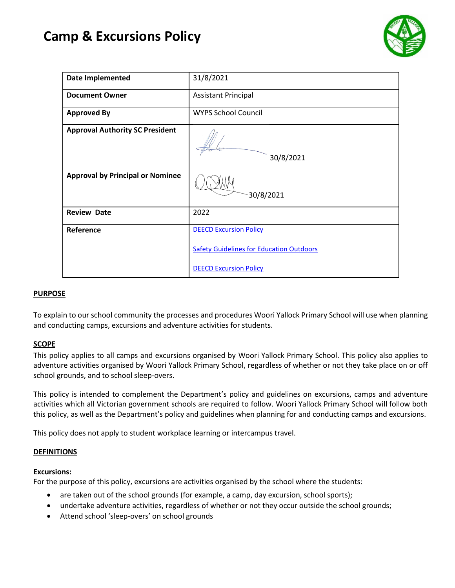# **Camp & Excursions Policy**



| <b>Date Implemented</b>                 | 31/8/2021                                       |
|-----------------------------------------|-------------------------------------------------|
| <b>Document Owner</b>                   | <b>Assistant Principal</b>                      |
| <b>Approved By</b>                      | <b>WYPS School Council</b>                      |
| <b>Approval Authority SC President</b>  | 30/8/2021                                       |
| <b>Approval by Principal or Nominee</b> | 30/8/2021                                       |
| <b>Review Date</b>                      | 2022                                            |
| Reference                               | <b>DEECD Excursion Policy</b>                   |
|                                         | <b>Safety Guidelines for Education Outdoors</b> |
|                                         | <b>DEECD Excursion Policy</b>                   |

# **PURPOSE**

To explain to our school community the processes and procedures Woori Yallock Primary School will use when planning and conducting camps, excursions and adventure activities for students.

#### **SCOPE**

This policy applies to all camps and excursions organised by Woori Yallock Primary School. This policy also applies to adventure activities organised by Woori Yallock Primary School, regardless of whether or not they take place on or off school grounds, and to school sleep-overs.

This policy is intended to complement the Department's policy and guidelines on excursions, camps and adventure activities which all Victorian government schools are required to follow. Woori Yallock Primary School will follow both this policy, as well as the Department's policy and guidelines when planning for and conducting camps and excursions.

This policy does not apply to student workplace learning or intercampus travel.

#### **DEFINITIONS**

#### **Excursions:**

For the purpose of this policy, excursions are activities organised by the school where the students:

- are taken out of the school grounds (for example, a camp, day excursion, school sports);
- undertake adventure activities, regardless of whether or not they occur outside the school grounds;
- Attend school 'sleep-overs' on school grounds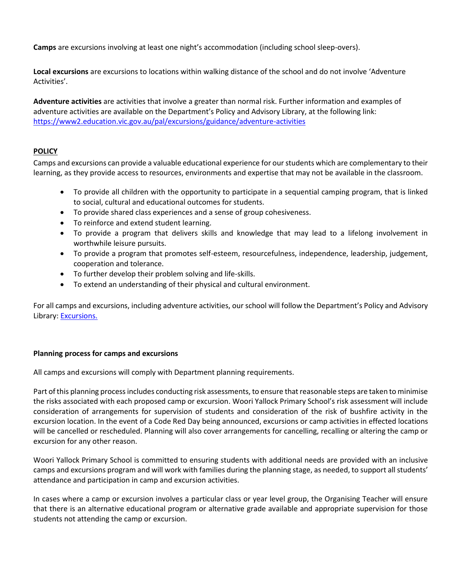**Camps** are excursions involving at least one night's accommodation (including school sleep-overs).

**Local excursions** are excursions to locations within walking distance of the school and do not involve 'Adventure Activities'.

**Adventure activities** are activities that involve a greater than normal risk. Further information and examples of adventure activities are available on the Department's Policy and Advisory Library, at the following link: <https://www2.education.vic.gov.au/pal/excursions/guidance/adventure-activities>

# **POLICY**

Camps and excursions can provide a valuable educational experience for our students which are complementary to their learning, as they provide access to resources, environments and expertise that may not be available in the classroom.

- To provide all children with the opportunity to participate in a sequential camping program, that is linked to social, cultural and educational outcomes for students.
- To provide shared class experiences and a sense of group cohesiveness.
- To reinforce and extend student learning.
- To provide a program that delivers skills and knowledge that may lead to a lifelong involvement in worthwhile leisure pursuits.
- To provide a program that promotes self-esteem, resourcefulness, independence, leadership, judgement, cooperation and tolerance.
- To further develop their problem solving and life-skills.
- To extend an understanding of their physical and cultural environment.

For all camps and excursions, including adventure activities, our school will follow the Department's Policy and Advisory Library: [Excursions.](https://www2.education.vic.gov.au/pal/excursions/policy)

#### **Planning process for camps and excursions**

All camps and excursions will comply with Department planning requirements.

Part of this planning process includes conducting risk assessments, to ensure that reasonable steps are taken to minimise the risks associated with each proposed camp or excursion. Woori Yallock Primary School's risk assessment will include consideration of arrangements for supervision of students and consideration of the risk of bushfire activity in the excursion location. In the event of a Code Red Day being announced, excursions or camp activities in effected locations will be cancelled or rescheduled. Planning will also cover arrangements for cancelling, recalling or altering the camp or excursion for any other reason.

Woori Yallock Primary School is committed to ensuring students with additional needs are provided with an inclusive camps and excursions program and will work with families during the planning stage, as needed, to support all students' attendance and participation in camp and excursion activities.

In cases where a camp or excursion involves a particular class or year level group, the Organising Teacher will ensure that there is an alternative educational program or alternative grade available and appropriate supervision for those students not attending the camp or excursion.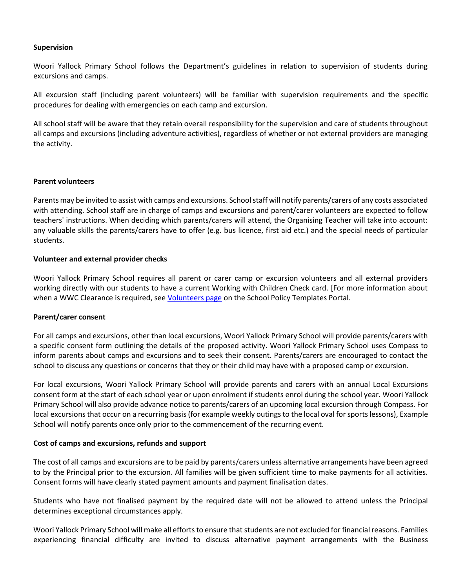#### **Supervision**

Woori Yallock Primary School follows the Department's guidelines in relation to supervision of students during excursions and camps.

All excursion staff (including parent volunteers) will be familiar with supervision requirements and the specific procedures for dealing with emergencies on each camp and excursion.

All school staff will be aware that they retain overall responsibility for the supervision and care of students throughout all camps and excursions (including adventure activities), regardless of whether or not external providers are managing the activity.

#### **Parent volunteers**

Parents may be invited to assist with camps and excursions. School staff will notify parents/carers of any costs associated with attending. School staff are in charge of camps and excursions and parent/carer volunteers are expected to follow teachers' instructions. When deciding which parents/carers will attend, the Organising Teacher will take into account: any valuable skills the parents/carers have to offer (e.g. bus licence, first aid etc.) and the special needs of particular students.

# **Volunteer and external provider checks**

Woori Yallock Primary School requires all parent or carer camp or excursion volunteers and all external providers working directly with our students to have a current Working with Children Check card. [For more information about when a WWC Clearance is required, se[e Volunteers page](https://edugate.eduweb.vic.gov.au/edrms/keyprocess/cp/SitePages/SchoolPoliciesDetail.aspx?CId=88) on the School Policy Templates Portal.

#### **Parent/carer consent**

For all camps and excursions, other than local excursions, Woori Yallock Primary School will provide parents/carers with a specific consent form outlining the details of the proposed activity. Woori Yallock Primary School uses Compass to inform parents about camps and excursions and to seek their consent. Parents/carers are encouraged to contact the school to discuss any questions or concerns that they or their child may have with a proposed camp or excursion.

For local excursions, Woori Yallock Primary School will provide parents and carers with an annual Local Excursions consent form at the start of each school year or upon enrolment if students enrol during the school year. Woori Yallock Primary School will also provide advance notice to parents/carers of an upcoming local excursion through Compass. For local excursions that occur on a recurring basis (for example weekly outings to the local oval for sports lessons), Example School will notify parents once only prior to the commencement of the recurring event.

#### **Cost of camps and excursions, refunds and support**

The cost of all camps and excursions are to be paid by parents/carers unless alternative arrangements have been agreed to by the Principal prior to the excursion. All families will be given sufficient time to make payments for all activities. Consent forms will have clearly stated payment amounts and payment finalisation dates.

Students who have not finalised payment by the required date will not be allowed to attend unless the Principal determines exceptional circumstances apply.

Woori Yallock Primary School will make all efforts to ensure that students are not excluded for financial reasons. Families experiencing financial difficulty are invited to discuss alternative payment arrangements with the Business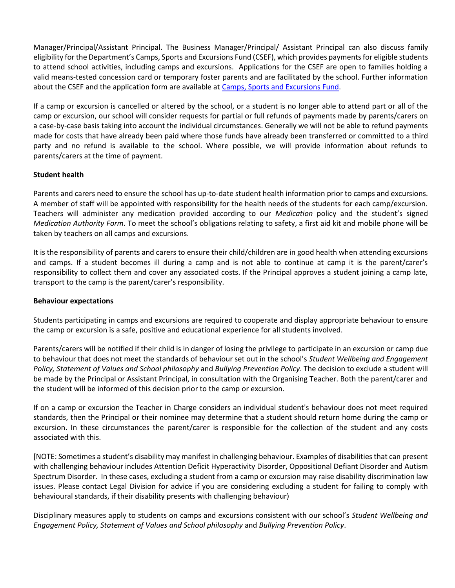Manager/Principal/Assistant Principal. The Business Manager/Principal/ Assistant Principal can also discuss family eligibility for the Department's Camps, Sports and Excursions Fund (CSEF), which provides payments for eligible students to attend school activities, including camps and excursions. Applications for the CSEF are open to families holding a valid means-tested concession card or temporary foster parents and are facilitated by the school. Further information about the CSEF and the application form are available a[t Camps, Sports and Excursions Fund.](https://www2.education.vic.gov.au/pal/camps-sports-and-excursions-fund/policy)

If a camp or excursion is cancelled or altered by the school, or a student is no longer able to attend part or all of the camp or excursion, our school will consider requests for partial or full refunds of payments made by parents/carers on a case-by-case basis taking into account the individual circumstances. Generally we will not be able to refund payments made for costs that have already been paid where those funds have already been transferred or committed to a third party and no refund is available to the school. Where possible, we will provide information about refunds to parents/carers at the time of payment.

#### **Student health**

Parents and carers need to ensure the school has up-to-date student health information prior to camps and excursions. A member of staff will be appointed with responsibility for the health needs of the students for each camp/excursion. Teachers will administer any medication provided according to our *Medication* policy and the student's signed *Medication Authority Form*. To meet the school's obligations relating to safety, a first aid kit and mobile phone will be taken by teachers on all camps and excursions.

It is the responsibility of parents and carers to ensure their child/children are in good health when attending excursions and camps. If a student becomes ill during a camp and is not able to continue at camp it is the parent/carer's responsibility to collect them and cover any associated costs. If the Principal approves a student joining a camp late, transport to the camp is the parent/carer's responsibility.

#### **Behaviour expectations**

Students participating in camps and excursions are required to cooperate and display appropriate behaviour to ensure the camp or excursion is a safe, positive and educational experience for all students involved.

Parents/carers will be notified if their child is in danger of losing the privilege to participate in an excursion or camp due to behaviour that does not meet the standards of behaviour set out in the school's *Student Wellbeing and Engagement Policy, Statement of Values and School philosophy* and *Bullying Prevention Policy*. The decision to exclude a student will be made by the Principal or Assistant Principal, in consultation with the Organising Teacher. Both the parent/carer and the student will be informed of this decision prior to the camp or excursion.

If on a camp or excursion the Teacher in Charge considers an individual student's behaviour does not meet required standards, then the Principal or their nominee may determine that a student should return home during the camp or excursion. In these circumstances the parent/carer is responsible for the collection of the student and any costs associated with this.

[NOTE: Sometimes a student's disability may manifest in challenging behaviour. Examples of disabilities that can present with challenging behaviour includes Attention Deficit Hyperactivity Disorder, Oppositional Defiant Disorder and Autism Spectrum Disorder. In these cases, excluding a student from a camp or excursion may raise disability discrimination law issues. Please contact Legal Division for advice if you are considering excluding a student for failing to comply with behavioural standards, if their disability presents with challenging behaviour)

Disciplinary measures apply to students on camps and excursions consistent with our school's *Student Wellbeing and Engagement Policy, Statement of Values and School philosophy* and *Bullying Prevention Policy*.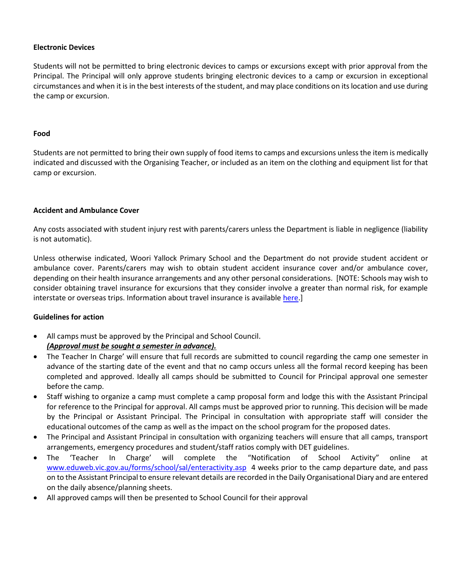### **Electronic Devices**

Students will not be permitted to bring electronic devices to camps or excursions except with prior approval from the Principal. The Principal will only approve students bringing electronic devices to a camp or excursion in exceptional circumstances and when it is in the best interests of the student, and may place conditions on its location and use during the camp or excursion.

#### **Food**

Students are not permitted to bring their own supply of food items to camps and excursions unless the item is medically indicated and discussed with the Organising Teacher, or included as an item on the clothing and equipment list for that camp or excursion.

#### **Accident and Ambulance Cover**

Any costs associated with student injury rest with parents/carers unless the Department is liable in negligence (liability is not automatic).

Unless otherwise indicated, Woori Yallock Primary School and the Department do not provide student accident or ambulance cover. Parents/carers may wish to obtain student accident insurance cover and/or ambulance cover, depending on their health insurance arrangements and any other personal considerations. [NOTE: Schools may wish to consider obtaining travel insurance for excursions that they consider involve a greater than normal risk, for example interstate or overseas trips. Information about travel insurance is available [here.](https://www2.education.vic.gov.au/pal/insurance/guidance/2-insurance-policies)]

#### **Guidelines for action**

- All camps must be approved by the Principal and School Council. *(Approval must be sought a semester in advance).*
- The Teacher In Charge' will ensure that full records are submitted to council regarding the camp one semester in advance of the starting date of the event and that no camp occurs unless all the formal record keeping has been completed and approved. Ideally all camps should be submitted to Council for Principal approval one semester before the camp.
- Staff wishing to organize a camp must complete a camp proposal form and lodge this with the Assistant Principal for reference to the Principal for approval. All camps must be approved prior to running. This decision will be made by the Principal or Assistant Principal. The Principal in consultation with appropriate staff will consider the educational outcomes of the camp as well as the impact on the school program for the proposed dates.
- The Principal and Assistant Principal in consultation with organizing teachers will ensure that all camps, transport arrangements, emergency procedures and student/staff ratios comply with DET guidelines.
- The 'Teacher In Charge' will complete the "Notification of School Activity" online at [www.eduweb.vic.gov.au/forms/school/sal/enteractivity.asp](http://www.eduweb.vic.gov.au/forms/school/sal/enteractivity.asp) 4 weeks prior to the camp departure date, and pass on to the Assistant Principal to ensure relevant details are recorded in the Daily Organisational Diary and are entered on the daily absence/planning sheets.
- All approved camps will then be presented to School Council for their approval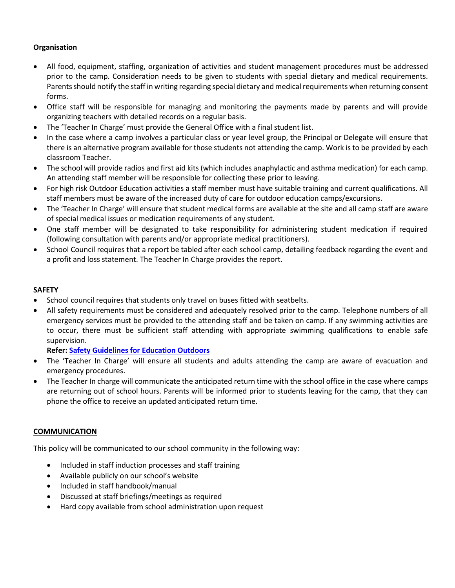# **Organisation**

- All food, equipment, staffing, organization of activities and student management procedures must be addressed prior to the camp. Consideration needs to be given to students with special dietary and medical requirements. Parents should notify the staff in writing regarding special dietary and medical requirements when returning consent forms.
- Office staff will be responsible for managing and monitoring the payments made by parents and will provide organizing teachers with detailed records on a regular basis.
- The 'Teacher In Charge' must provide the General Office with a final student list.
- In the case where a camp involves a particular class or year level group, the Principal or Delegate will ensure that there is an alternative program available for those students not attending the camp. Work is to be provided by each classroom Teacher.
- The school will provide radios and first aid kits (which includes anaphylactic and asthma medication) for each camp. An attending staff member will be responsible for collecting these prior to leaving.
- For high risk Outdoor Education activities a staff member must have suitable training and current qualifications. All staff members must be aware of the increased duty of care for outdoor education camps/excursions.
- The 'Teacher In Charge' will ensure that student medical forms are available at the site and all camp staff are aware of special medical issues or medication requirements of any student.
- One staff member will be designated to take responsibility for administering student medication if required (following consultation with parents and/or appropriate medical practitioners).
- School Council requires that a report be tabled after each school camp, detailing feedback regarding the event and a profit and loss statement. The Teacher In Charge provides the report.

# **SAFETY**

- School council requires that students only travel on buses fitted with seatbelts.
- All safety requirements must be considered and adequately resolved prior to the camp. Telephone numbers of all emergency services must be provided to the attending staff and be taken on camp. If any swimming activities are to occur, there must be sufficient staff attending with appropriate swimming qualifications to enable safe supervision.

**Refer: [Safety Guidelines for Education Outdoors](https://www.education.vic.gov.au/school/principals/spag/safety/Pages/excursions.aspx)**

- The 'Teacher In Charge' will ensure all students and adults attending the camp are aware of evacuation and emergency procedures.
- The Teacher In charge will communicate the anticipated return time with the school office in the case where camps are returning out of school hours. Parents will be informed prior to students leaving for the camp, that they can phone the office to receive an updated anticipated return time.

#### **COMMUNICATION**

This policy will be communicated to our school community in the following way:

- Included in staff induction processes and staff training
- Available publicly on our school's website
- Included in staff handbook/manual
- Discussed at staff briefings/meetings as required
- Hard copy available from school administration upon request